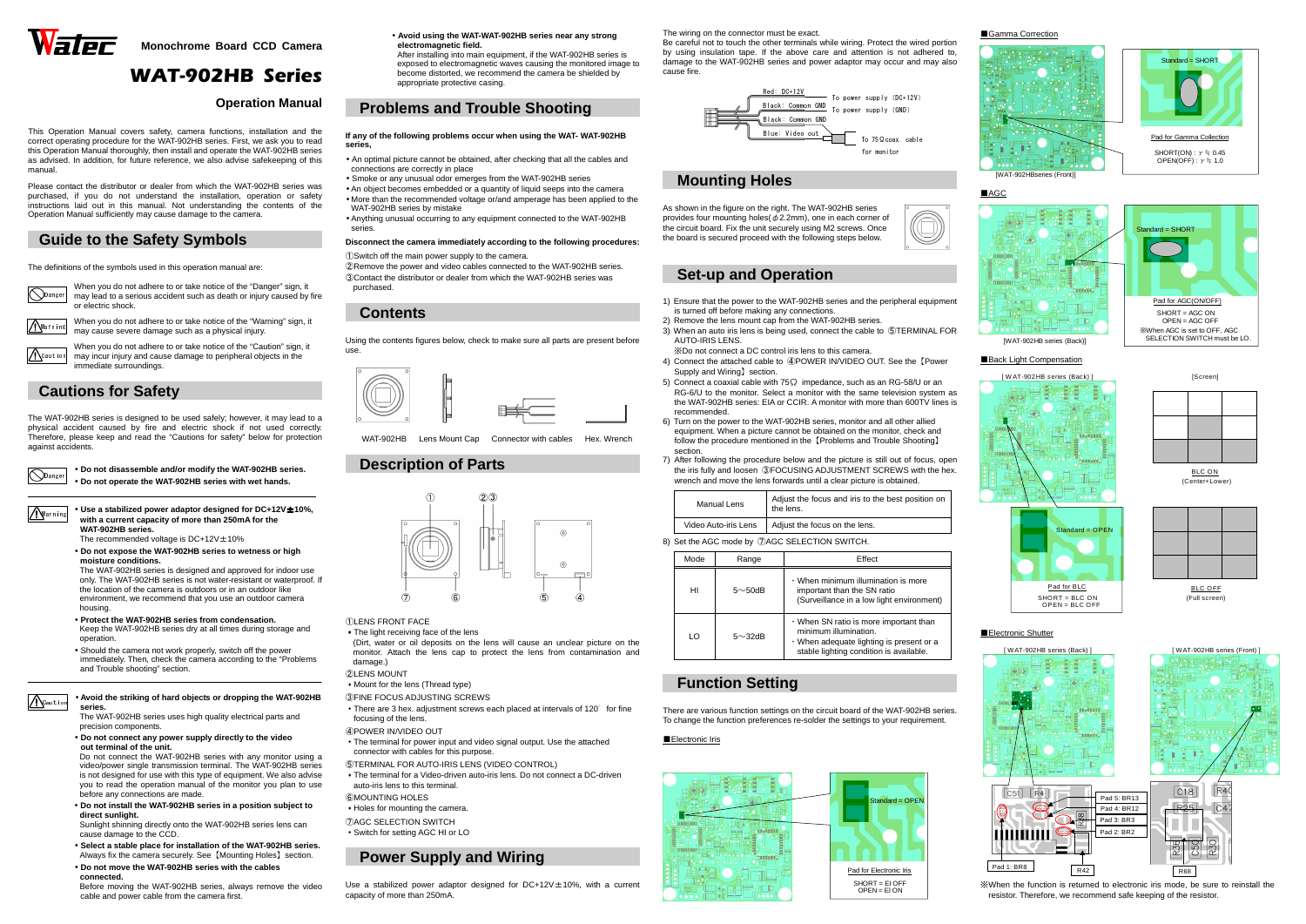

**Monochrome Board CCD Camera** 

# WAT-902HB Series

### **Operation Manual**

This Operation Manual covers safety, camera functions, installation and the correct operating procedure for the WAT-902HB series. First, we ask you to read this Operation Manual thoroughly, then install and operate the WAT-902HB series as advised. In addition, for future reference, we also advise safekeeping of this manual.

**Q**Danger When you do not adhere to or take notice of the "Danger" sign, it may lead to a serious accident such as death or injury caused by fire or electric shock.

When you do not adhere to or take notice of the "Warning" sign, it may cause severe damage such as a physical injury. Warning

When you do not adhere to or take notice of the "Caution" sign, it may incur injury and cause damage to peripheral objects in the immediate surroundings. **A**Cautic

 Please contact the distributor or dealer from which the WAT-902HB series was purchased, if you do not understand the installation, operation or safety instructions laid out in this manual. Not understanding the contents of the Operation Manual sufficiently may cause damage to the camera.

## **Guide to the Safety Symbols**

The definitions of the symbols used in this operation manual are:

Danger

**A**Caution

• **Use a stabilized power adaptor designed for DC+12V**±**10%, with a current capacity of more than 250mA for the WAT-902HB series.** Warning

The recommended voltage is  $DC+12V \pm 10\%$ 

## **Cautions for Safety**

The WAT-902HB series is designed to be used safely; however, it may lead to a physical accident caused by fire and electric shock if not used correctly. Therefore, please keep and read the "Cautions for safety" below for protection against accidents.

> • **Do not disassemble and/or modify the WAT-902HB series.** • **Do not operate the WAT-902HB series with wet hands.**

 • **Do not expose the WAT-902HB series to wetness or high moisture conditions.** 

 The WAT-902HB series is designed and approved for indoor use only. The WAT-902HB series is not water-resistant or waterproof. If the location of the camera is outdoors or in an outdoor like environment, we recommend that you use an outdoor camera housing.

- **Protect the WAT-902HB series from condensation.**  Keep the WAT-902HB series dry at all times during storage and operation.
- • Should the camera not work properly, switch off the power immediately. Then, check the camera according to the "Problems and Trouble shooting" section.

 (Dirt, water or oil deposits on the lens will cause an unclear picture on the monitor. Attach the lens cap to protect the lens from contamination and damage.)

#### • **Avoid the striking of hard objects or dropping the WAT-902HB series.**

 The WAT-902HB series uses high quality electrical parts and precision components.

• **Do not connect any power supply directly to the video out terminal of the unit.**

 Do not connect the WAT-902HB series with any monitor using a video/power single transmission terminal. The WAT-902HB series is not designed for use with this type of equipment. We also advise you to read the operation manual of the monitor you plan to use before any connections are made.

> Use a stabilized power adaptor designed for DC+12V $\pm$ 10%, with a current capacity of more than 250mA.

- **Do not install the WAT-902HB series in a position subject to direct sunlight.**
- Sunlight shinning directly onto the WAT-902HB series lens can cause damage to the CCD.
- **Select a stable place for installation of the WAT-902HB series.**  Always fix the camera securely. See【Mounting Holes】section.
- **Do not move the WAT-902HB series with the cables connected.**

 Before moving the WAT-902HB series, always remove the video cable and power cable from the camera first.

 • **Avoid using the WAT-WAT-902HB series near any strongelectromagnetic field.** 

 After installing into main equipment, if the WAT-902HB series is exposed to electromagnetic waves causing the monitored image to become distorted, we recommend the camera be shielded by appropriate protective casing.

### **Problems and Trouble Shooting**

#### **If any of the following problems occur when using the WAT- WAT-902HB series,**

- An optimal picture cannot be obtained, after checking that all the cables and connections are correctly in place
- Smoke or any unusual odor emerges from the WAT-902HB series
- An object becomes embedded or a quantity of liquid seeps into the camera • More than the recommended voltage or/and amperage has been applied to the WAT-902HB series by mistake
- Anything unusual occurring to any equipment connected to the WAT-902HB series.

### **Disconnect the camera immediately according to the following procedures:**

①Switch off the main power supply to the camera.

 ②Remove the power and video cables connected to the WAT-902HB series. ③Contact the distributor or dealer from which the WAT-902HB series was purchased.

## **Contents**

Using the contents figures below, check to make sure all parts are present before use.



WAT-902HB Lens Mount Cap Connector with cables Hex. Wrench

### **Description of Parts**



- ①LENS FRONT FACE
- ・The light receiving face of the lens

- ②LENS MOUNT
- ・Mount for the lens (Thread type)
- ③FINE FOCUS ADJUSTING SCREWS
- There are 3 hex. adjustment screws each placed at intervals of 120° for fine focusing of the lens.
- ④POWER IN/VIDEO OUT
- ・The terminal for power input and video signal output. Use the attached connector with cables for this purpose.
- ⑤TERMINAL FOR AUTO-IRIS LENS (VIDEO CONTROL)
- The terminal for a Video-driven auto-iris lens. Do not connect a DC-driven auto-iris lens to this terminal.
- ⑥MOUNTING HOLES
- ・Holes for mounting the camera.
- ⑦AGC SELECTION SWITCH
- ・Switch for setting AGC HI or LO

## **Power Supply and Wiring**

The wiring on the connector must be exact.

 Be careful not to touch the other terminals while wiring. Protect the wired portion by using insulation tape. If the above care and attention is not adhered to, damage to the WAT-902HB series and power adaptor may occur and may also cause fire.

## **Mounting Holes**

As shown in the figure on the right. The WAT-902HB series provides four mounting holes( $\phi$ 2.2mm), one in each corner of the circuit board. Fix the unit securely using M2 screws. Once the board is secured proceed with the following steps below.



## **Set-up and Operation**

- 1) Ensure that the power to the WAT-902HB series and the peripheral equipment is turned off before making any connections.
- 2) Remove the lens mount cap from the WAT-902HB series.
- 3) When an auto iris lens is being used, connect the cable to ⑤TERMINAL FOR AUTO-IRIS LENS.
- ※Do not connect a DC control iris lens to this camera.
- 4) Connect the attached cable to ④POWER IN/VIDEO OUT. See the【Power Supply and Wiring】section.
- 5) Connect a coaxial cable with 75 $\Omega$  impedance, such as an RG-58/U or an RG-6/U to the monitor. Select a monitor with the same television system as the WAT-902HB series: EIA or CCIR. A monitor with more than 600TV lines is recommended.
- 6) Turn on the power to the WAT-902HB series, monitor and all other allied equipment. When a picture cannot be obtained on the monitor, check and follow the procedure mentioned in the 【Problems and Trouble Shooting】 section.
- 7) After following the procedure below and the picture is still out of focus, open the iris fully and loosen ③FOCUSING ADJUSTMENT SCREWS with the hex. wrench and move the lens forwards until a clear picture is obtained.

| <b>Manual Lens</b>   | Adjust the focus and iris to the best position on<br>the lens. |  |
|----------------------|----------------------------------------------------------------|--|
| Video Auto-iris Lens | Adjust the focus on the lens.                                  |  |

8) Set the AGC mode by ⑦AGC SELECTION SWITCH.

| Mode | Range          | Effect                                                                                                                                                 |  |  |
|------|----------------|--------------------------------------------------------------------------------------------------------------------------------------------------------|--|--|
| HI   | $5 \sim 50$ dB | • When minimum illumination is more<br>important than the SN ratio<br>(Surveillance in a low light environment)                                        |  |  |
| LO   | $5 \sim 32$ dB | . When SN ratio is more important than<br>minimum illumination.<br>. When adequate lighting is present or a<br>stable lighting condition is available. |  |  |

## **Function Setting**

There are various function settings on the circuit board of the WAT-902HB series. To change the function preferences re-solder the settings to your requirement.

■Electronic Iris



※When the function is returned to electronic iris mode, be sure to reinstall the resistor. Therefore, we recommend safe keeping of the resistor.





### ■Gamma Correction